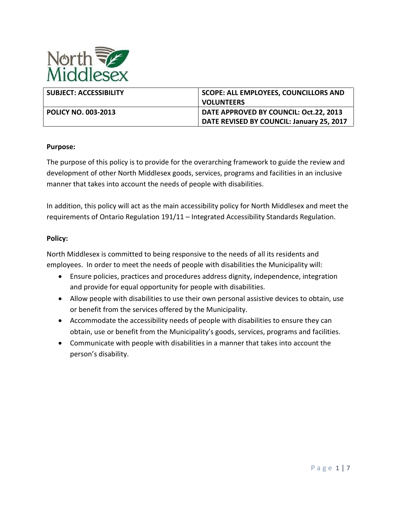

| <b>SUBJECT: ACCESSIBILITY</b> | <b>SCOPE: ALL EMPLOYEES, COUNCILLORS AND</b><br><b>VOLUNTEERS</b>                   |
|-------------------------------|-------------------------------------------------------------------------------------|
| <b>POLICY NO. 003-2013</b>    | DATE APPROVED BY COUNCIL: Oct.22, 2013<br>DATE REVISED BY COUNCIL: January 25, 2017 |

#### **Purpose:**

The purpose of this policy is to provide for the overarching framework to guide the review and development of other North Middlesex goods, services, programs and facilities in an inclusive manner that takes into account the needs of people with disabilities.

In addition, this policy will act as the main accessibility policy for North Middlesex and meet the requirements of Ontario Regulation 191/11 – Integrated Accessibility Standards Regulation.

### **Policy:**

North Middlesex is committed to being responsive to the needs of all its residents and employees. In order to meet the needs of people with disabilities the Municipality will:

- Ensure policies, practices and procedures address dignity, independence, integration and provide for equal opportunity for people with disabilities.
- Allow people with disabilities to use their own personal assistive devices to obtain, use or benefit from the services offered by the Municipality.
- Accommodate the accessibility needs of people with disabilities to ensure they can obtain, use or benefit from the Municipality's goods, services, programs and facilities.
- Communicate with people with disabilities in a manner that takes into account the person's disability.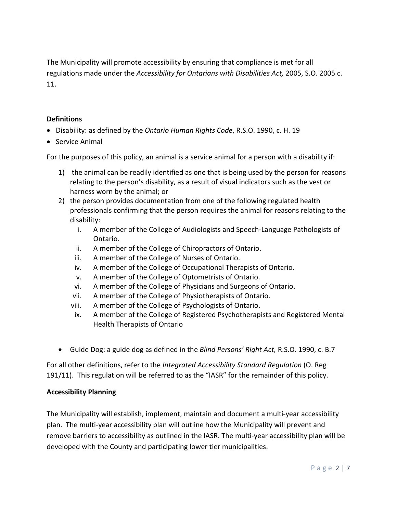The Municipality will promote accessibility by ensuring that compliance is met for all regulations made under the *Accessibility for Ontarians with Disabilities Act,* 2005, S.O. 2005 c. 11.

# **Definitions**

- Disability: as defined by the *Ontario Human Rights Code*, R.S.O. 1990, c. H. 19
- Service Animal

For the purposes of this policy, an animal is a service animal for a person with a disability if:

- 1) the animal can be readily identified as one that is being used by the person for reasons relating to the person's disability, as a result of visual indicators such as the vest or harness worn by the animal; or
- 2) the person provides documentation from one of the following regulated health professionals confirming that the person requires the animal for reasons relating to the disability:
	- i. A member of the College of Audiologists and Speech-Language Pathologists of Ontario.
	- ii. A member of the College of Chiropractors of Ontario.
	- iii. A member of the College of Nurses of Ontario.
	- iv. A member of the College of Occupational Therapists of Ontario.
	- v. A member of the College of Optometrists of Ontario.
	- vi. A member of the College of Physicians and Surgeons of Ontario.
	- vii. A member of the College of Physiotherapists of Ontario.
	- viii. A member of the College of Psychologists of Ontario.
	- ix. A member of the College of Registered Psychotherapists and Registered Mental Health Therapists of Ontario
- Guide Dog: a guide dog as defined in the *Blind Persons' Right Act,* R.S.O. 1990, c. B.7

For all other definitions, refer to the *Integrated Accessibility Standard Regulation* (O. Reg 191/11). This regulation will be referred to as the "IASR" for the remainder of this policy.

# **Accessibility Planning**

The Municipality will establish, implement, maintain and document a multi-year accessibility plan. The multi-year accessibility plan will outline how the Municipality will prevent and remove barriers to accessibility as outlined in the IASR. The multi-year accessibility plan will be developed with the County and participating lower tier municipalities.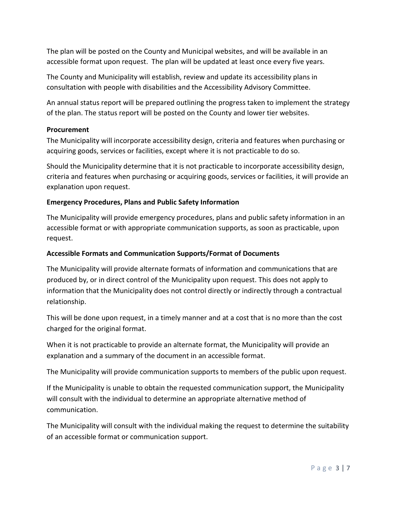The plan will be posted on the County and Municipal websites, and will be available in an accessible format upon request. The plan will be updated at least once every five years.

The County and Municipality will establish, review and update its accessibility plans in consultation with people with disabilities and the Accessibility Advisory Committee.

An annual status report will be prepared outlining the progress taken to implement the strategy of the plan. The status report will be posted on the County and lower tier websites.

### **Procurement**

The Municipality will incorporate accessibility design, criteria and features when purchasing or acquiring goods, services or facilities, except where it is not practicable to do so.

Should the Municipality determine that it is not practicable to incorporate accessibility design, criteria and features when purchasing or acquiring goods, services or facilities, it will provide an explanation upon request.

## **Emergency Procedures, Plans and Public Safety Information**

The Municipality will provide emergency procedures, plans and public safety information in an accessible format or with appropriate communication supports, as soon as practicable, upon request.

## **Accessible Formats and Communication Supports/Format of Documents**

The Municipality will provide alternate formats of information and communications that are produced by, or in direct control of the Municipality upon request. This does not apply to information that the Municipality does not control directly or indirectly through a contractual relationship.

This will be done upon request, in a timely manner and at a cost that is no more than the cost charged for the original format.

When it is not practicable to provide an alternate format, the Municipality will provide an explanation and a summary of the document in an accessible format.

The Municipality will provide communication supports to members of the public upon request.

If the Municipality is unable to obtain the requested communication support, the Municipality will consult with the individual to determine an appropriate alternative method of communication.

The Municipality will consult with the individual making the request to determine the suitability of an accessible format or communication support.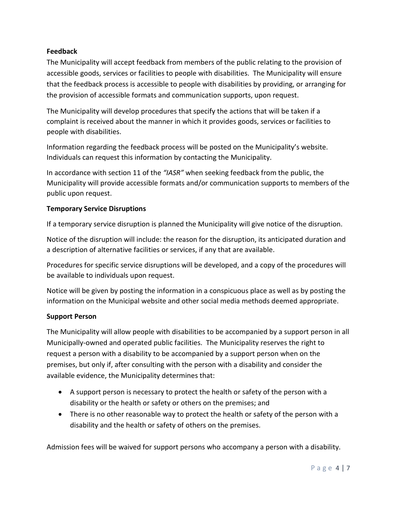## **Feedback**

The Municipality will accept feedback from members of the public relating to the provision of accessible goods, services or facilities to people with disabilities. The Municipality will ensure that the feedback process is accessible to people with disabilities by providing, or arranging for the provision of accessible formats and communication supports, upon request.

The Municipality will develop procedures that specify the actions that will be taken if a complaint is received about the manner in which it provides goods, services or facilities to people with disabilities.

Information regarding the feedback process will be posted on the Municipality's website. Individuals can request this information by contacting the Municipality.

In accordance with section 11 of the *"IASR"* when seeking feedback from the public, the Municipality will provide accessible formats and/or communication supports to members of the public upon request.

### **Temporary Service Disruptions**

If a temporary service disruption is planned the Municipality will give notice of the disruption.

Notice of the disruption will include: the reason for the disruption, its anticipated duration and a description of alternative facilities or services, if any that are available.

Procedures for specific service disruptions will be developed, and a copy of the procedures will be available to individuals upon request.

Notice will be given by posting the information in a conspicuous place as well as by posting the information on the Municipal website and other social media methods deemed appropriate.

### **Support Person**

The Municipality will allow people with disabilities to be accompanied by a support person in all Municipally-owned and operated public facilities. The Municipality reserves the right to request a person with a disability to be accompanied by a support person when on the premises, but only if, after consulting with the person with a disability and consider the available evidence, the Municipality determines that:

- A support person is necessary to protect the health or safety of the person with a disability or the health or safety or others on the premises; and
- There is no other reasonable way to protect the health or safety of the person with a disability and the health or safety of others on the premises.

Admission fees will be waived for support persons who accompany a person with a disability.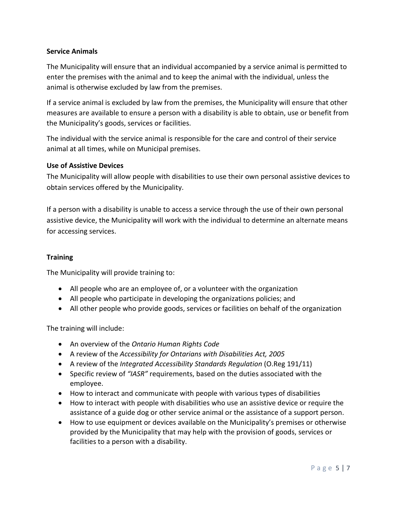### **Service Animals**

The Municipality will ensure that an individual accompanied by a service animal is permitted to enter the premises with the animal and to keep the animal with the individual, unless the animal is otherwise excluded by law from the premises.

If a service animal is excluded by law from the premises, the Municipality will ensure that other measures are available to ensure a person with a disability is able to obtain, use or benefit from the Municipality's goods, services or facilities.

The individual with the service animal is responsible for the care and control of their service animal at all times, while on Municipal premises.

#### **Use of Assistive Devices**

The Municipality will allow people with disabilities to use their own personal assistive devices to obtain services offered by the Municipality.

If a person with a disability is unable to access a service through the use of their own personal assistive device, the Municipality will work with the individual to determine an alternate means for accessing services.

#### **Training**

The Municipality will provide training to:

- All people who are an employee of, or a volunteer with the organization
- All people who participate in developing the organizations policies; and
- All other people who provide goods, services or facilities on behalf of the organization

The training will include:

- An overview of the *Ontario Human Rights Code*
- A review of the *Accessibility for Ontarians with Disabilities Act, 2005*
- A review of the *Integrated Accessibility Standards Regulation* (O.Reg 191/11)
- Specific review of *"IASR"* requirements, based on the duties associated with the employee.
- How to interact and communicate with people with various types of disabilities
- How to interact with people with disabilities who use an assistive device or require the assistance of a guide dog or other service animal or the assistance of a support person.
- How to use equipment or devices available on the Municipality's premises or otherwise provided by the Municipality that may help with the provision of goods, services or facilities to a person with a disability.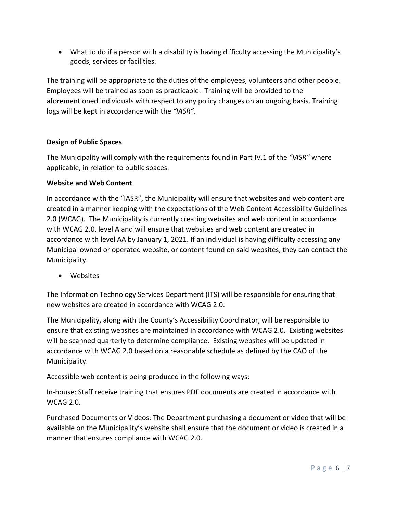• What to do if a person with a disability is having difficulty accessing the Municipality's goods, services or facilities.

The training will be appropriate to the duties of the employees, volunteers and other people. Employees will be trained as soon as practicable. Training will be provided to the aforementioned individuals with respect to any policy changes on an ongoing basis. Training logs will be kept in accordance with the *"IASR".*

## **Design of Public Spaces**

The Municipality will comply with the requirements found in Part IV.1 of the *"IASR"* where applicable, in relation to public spaces.

## **Website and Web Content**

In accordance with the "IASR", the Municipality will ensure that websites and web content are created in a manner keeping with the expectations of the Web Content Accessibility Guidelines 2.0 (WCAG). The Municipality is currently creating websites and web content in accordance with WCAG 2.0, level A and will ensure that websites and web content are created in accordance with level AA by January 1, 2021. If an individual is having difficulty accessing any Municipal owned or operated website, or content found on said websites, they can contact the Municipality.

• Websites

The Information Technology Services Department (ITS) will be responsible for ensuring that new websites are created in accordance with WCAG 2.0.

The Municipality, along with the County's Accessibility Coordinator, will be responsible to ensure that existing websites are maintained in accordance with WCAG 2.0. Existing websites will be scanned quarterly to determine compliance. Existing websites will be updated in accordance with WCAG 2.0 based on a reasonable schedule as defined by the CAO of the Municipality.

Accessible web content is being produced in the following ways:

In-house: Staff receive training that ensures PDF documents are created in accordance with WCAG 2.0.

Purchased Documents or Videos: The Department purchasing a document or video that will be available on the Municipality's website shall ensure that the document or video is created in a manner that ensures compliance with WCAG 2.0.